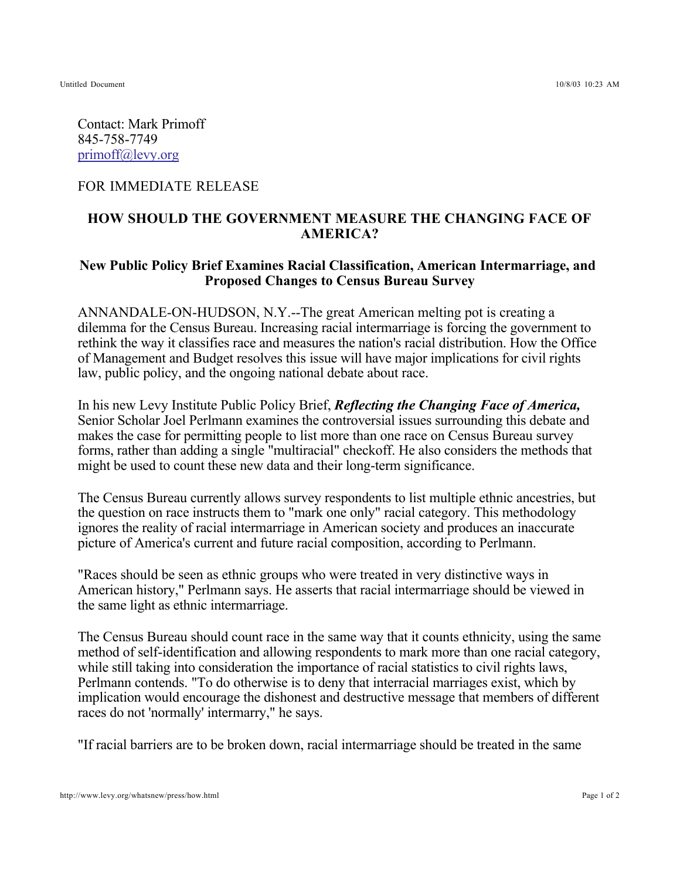Contact: Mark Primoff 845-758-7749 primoff@levy.org

## FOR IMMEDIATE RELEASE

## **HOW SHOULD THE GOVERNMENT MEASURE THE CHANGING FACE OF AMERICA?**

## **New Public Policy Brief Examines Racial Classification, American Intermarriage, and Proposed Changes to Census Bureau Survey**

ANNANDALE-ON-HUDSON, N.Y.--The great American melting pot is creating a dilemma for the Census Bureau. Increasing racial intermarriage is forcing the government to rethink the way it classifies race and measures the nation's racial distribution. How the Office of Management and Budget resolves this issue will have major implications for civil rights law, public policy, and the ongoing national debate about race.

In his new Levy Institute Public Policy Brief, *Reflecting the Changing Face of America,* Senior Scholar Joel Perlmann examines the controversial issues surrounding this debate and makes the case for permitting people to list more than one race on Census Bureau survey forms, rather than adding a single "multiracial" checkoff. He also considers the methods that might be used to count these new data and their long-term significance.

The Census Bureau currently allows survey respondents to list multiple ethnic ancestries, but the question on race instructs them to "mark one only" racial category. This methodology ignores the reality of racial intermarriage in American society and produces an inaccurate picture of America's current and future racial composition, according to Perlmann.

"Races should be seen as ethnic groups who were treated in very distinctive ways in American history," Perlmann says. He asserts that racial intermarriage should be viewed in the same light as ethnic intermarriage.

The Census Bureau should count race in the same way that it counts ethnicity, using the same method of self-identification and allowing respondents to mark more than one racial category, while still taking into consideration the importance of racial statistics to civil rights laws, Perlmann contends. "To do otherwise is to deny that interracial marriages exist, which by implication would encourage the dishonest and destructive message that members of different races do not 'normally' intermarry," he says.

"If racial barriers are to be broken down, racial intermarriage should be treated in the same